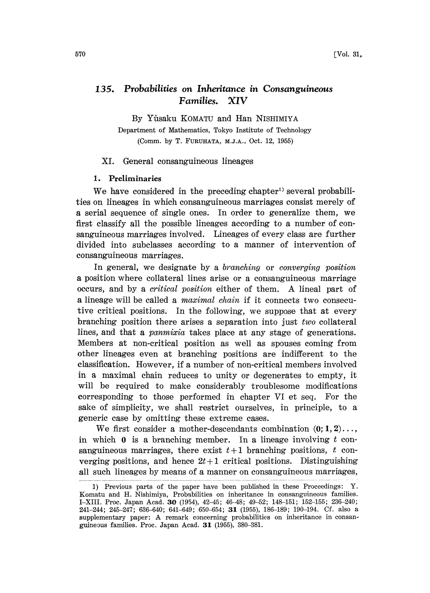# 135. Probabilities on Inheritance in Consanguineous Families. XIV

By Yflsaku KOMATU and Han NISHIMIYA

Department of Mathematics, Tokyo Institute of Technology (Comm. by T. FURUHATA, M.J.A., Oct. 12, 1955)

#### XI. General consanguineous lineages

#### 1. Preliminaries

We have considered in the preceding chapter<sup>1)</sup> several probabilities on lineages in which consanguineous marriages consist merely of a serial sequence of single ones. In order to generalize them, we first classify all the possible lineages according to a number of consanguineous marriages involved. Lineages of every class are further divided into subclasses according to a manner of intervention of consanguineous marriages.

In general, we designate by a *branching* or *converging position* a position where collateral lines arise or a consanguineous marriage occurs, and by <sup>a</sup> critical position either of them. A lineal part of a lineage will be called a maximal chain if it connects two consecutive critical positions. In the following, we suppose that at every branching position there arises a separation into just two collateral lines, and that a *panmixia* takes place at any stage of generations. Members at non-critical position as well as spouses coming from other lineages even at branching positions are indifferent to the classification. However, if a number of non-critical members involved in a maximal chain reduces to unity or degenerates to empty, it will be required to make considerably troublesome modifications corresponding to those performed in chapter VI et seq. For the sake of simplicity, we shall restrict ourselves, in principle, to a generic case by omitting these extreme cases.

We first consider a mother-descendants combination  $(0; 1, 2)$ ... in which  $\bf{0}$  is a branching member. In a lineage involving t consanguineous marriages, there exist  $t+1$  branching positions, t converging positions, and hence  $2t+1$  critical positions. Distinguishing all such lineages by means of a manner on consanguineous marriages,

<sup>1)</sup> Previous parts of the paper have been published in these Proceedings: Y. Komatu and H. Nishimiya, Probabilities on inheritance in consanguineous families. I-XIII. Proc. Japan Acad. 3{} (1954), 42-45; 46-48; 49-52; 148-151; 152-155; 236-240; 241-244; 245-247; 636-640; 641-649; 650-654; 31 (1955), 186-189; 190-194. Cf. also a supplementary paper: A remark concerning probabilities on inheritance in consanguineous families. Proc. Japan Acad. 31 (1955), 380-381.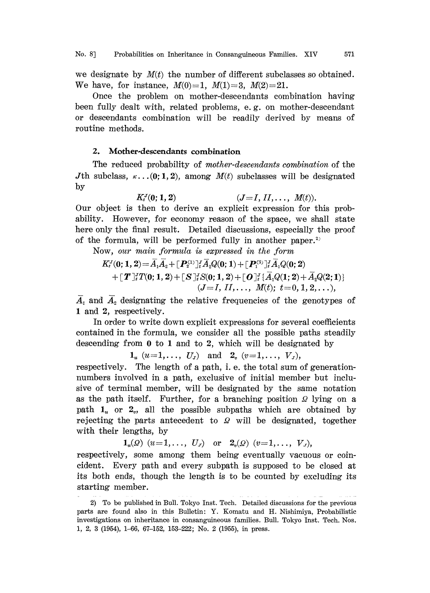we designate by  $M(t)$  the number of different subclasses so obtained. We have, for instance,  $M(0)=1$ ,  $M(1)=3$ ,  $M(2)=21$ .

Once the problem on mother-descendants combination having been fully dealt with, related problems, e.g. on mother-descendant or descendants combination will be readily derived by means of routine methods.

## 2. Mother-descendants combination

The reduced probability of mother-descendants combination of the Jth subclass,  $\kappa$ ...(0; 1, 2), among  $M(t)$  subclasses will be designated by

 $K_i^J(0; 1, 2)$   $(J=I, II, \ldots, M(t)).$ Our object is hen to derive an explicit expression for this probability. However, for economy reason of the space, we shall state here only the final result. Detailed discussions, especially the proof of the formula, will be performed fully in another paper.<sup>2)</sup>

Now, our main formula is expressed in the form  
\n
$$
K_t^J(0; 1, 2) = \overline{A}_1 \overline{A}_2 + [\mathbf{P}_2^{(1)}]_t^J \overline{A}_2 Q(0; 1) + [\mathbf{P}_1^{(2)}]_t^J \overline{A}_1 Q(0; 2) + [\mathbf{T}]_t^J T(0; 1, 2) + [\mathbf{S}]_t^J S(0; 1, 2) + [\mathbf{O}]_t^J {\{\overline{A}_1 Q(1; 2) + \overline{A}_2 Q(2; 1)\}}
$$
\n
$$
(J = I, II, \dots, M(t); t = 0, 1, 2, \dots),
$$

 $\overline{A}_1$  and  $\overline{A}_2$  designating the relative frequencies of the genotypes of 1 and 2, respectively.

In order to write down explicit expressions for several coefficients contained in the formula, we consider all the possible paths steadily descending from  $0$  to 1 and to 2, which will be designated by

 $1_u$   $(u=1,\ldots, U_J)$  and  $2_v$   $(v=1,\ldots, V_J)$ ,

respectively. The length of a path, i. e. the total sum of generationnumbers involved in a path, exclusive of initial member but inclusive of terminal member, will be designated by the same notation as the path itself. Further, for a branching position  $\Omega$  lying on a path  $1<sub>u</sub>$  or  $2<sub>v</sub>$ , all the possible subpaths which are obtained by rejecting the parts antecedent to  $\Omega$  will be designated, together with their lengths, by

 $\mathbf{1}_{u}(Q)$   $(u=1,\ldots, U_{J})$  or  $\mathbf{2}_{v}(Q)$   $(v=1,\ldots, V_{J}),$ 

respectively, some among them being eventually vacuous or coincident. Every path and every subpah is supposed to be closed at its both ends, hough the length is to be counted by excluding its starting member.

<sup>2)</sup> To be published in Bull. Tokyo Inst. Tech. Detailed discussions for the previous parts are found also in this Bulletin: Y. Komatu and H. Nishimiya, Probabilistic investigations on inheritance in consanguineous families. Bull. Tokyo Inst. Tech. Nos. 1, 2, 3 (1954), 1-66, 67-152, 153-222; No. 2 (1955), in press.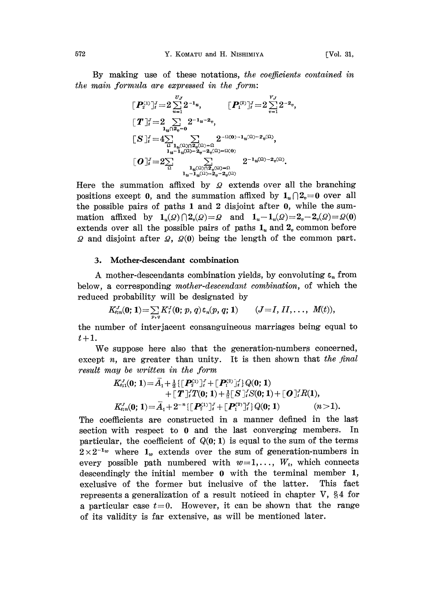By making use of these notations, the coefficients contained in the main formula are expressed in the form:

$$
\begin{aligned}\n\left[P_2^{(1)}\right]_t^J &= 2 \sum_{u=1}^{U_J} 2^{-1} u, & \left[P_1^{(2)}\right]_t^J &= 2 \sum_{v=1}^{V_J} 2^{-2} v, \\
\left[T\right]_t^J &= 2 \sum_{u} 2^{-1} u^{-2} v, \\
\left[S\right]_t^J &= 4 \sum_{\substack{u \\ \Omega}} \sum_{\substack{1_u(\Omega) \cap 2_u(\Omega) = 0}} 2^{-\Omega(0) - 1} u^{(\Omega) - 2} v^{(\Omega)}, \\
\left[U\right]_t^J &= 2 \sum_{\substack{u \\ \Omega}} \sum_{\substack{1_u(\Omega) \cap 2_u(\Omega) = 0}} 2^{-1} u^{(\Omega) - 2} v^{(\Omega)}.\n\end{aligned}
$$

 $\frac{1}{u} \sum_{u=1}^{u} \frac{2u}{u^{(1)}-2v-2v^{(1)}}$ <br>Here the summation affixed by  $\Omega$  extends over all the branching positions except 0, and the summation affixed by  $1_u \cap 2_v = 0$  over all the possible pairs of paths  $1$  and  $2$  disjoint after  $0$ , while the summation affixed by  $1_u(Q) \cap 2_v(Q) = Q$  and  $1_u-1_u(Q) = 2_v-2_v(Q) = Q(0)$ extends over all the possible pairs of paths  $1$ <sup> $_u$ </sup> and  $2$ <sup> $_v$ </sup> common before  $\Omega$  and disjoint after  $\Omega$ ,  $\Omega(0)$  being the length of the common part.

## 3. Mother-descendant combination

A mother-descendants combination yields, by convoluting  $\varepsilon_n$  from below, a corresponding mother-descendant combination, of which the reduced probability will be designated by

$$
K_{i;n}^J(0; 1) = \sum_{p,q} K_i^J(0; p, q) \varepsilon_n(p, q; 1) \qquad (J = I, II, \ldots, M(t)),
$$

the number of inerjacent consanguineous marriages being equal to  $t+1$ .

We suppose here also that the generation-numbers concerned, except n, are greater than unity. It is then shown that the final result may be written in the form

$$
K_{i;1}^{J}(0; 1) = A_1 + \frac{1}{2} \{ \left[ P_2^{(1)} \right]_i^J + \left[ P_1^{(2)} \right]_i^J \} Q(0; 1) + \left[ T \right]_i^J T(0; 1) + \frac{1}{2} \left[ S \right]_i^J S(0; 1) + \left[ O \right]_i^J R(1), K_{i;n}^{J}(0; 1) = \bar{A}_1 + 2^{-n} \{ \left[ P_2^{(1)} \right]_i^J + \left[ P_1^{(2)} \right]_i^J \} Q(0; 1) \qquad (n > 1).
$$

The coefficients are constructed in a manner defined in the last section with respect to 0 and the last converging members. In particular, the coefficient of  $Q(0; 1)$  is equal to the sum of the terms  $2\times2^{-1}$  where  $1_w$  extends over the sum of generation-numbers in every possible path numbered with  $w=1,\ldots, W_t$ , which connects descendingly the initial member 0 with the terminal member 1, exclusive of the former but inclusive of the latter. This fact represents a generalization of a result noticed in chapter V,  $\S 4$  for a particular case  $t=0$ . However, it can be shown that the range of its validity is far extensive, as will be mentioned later.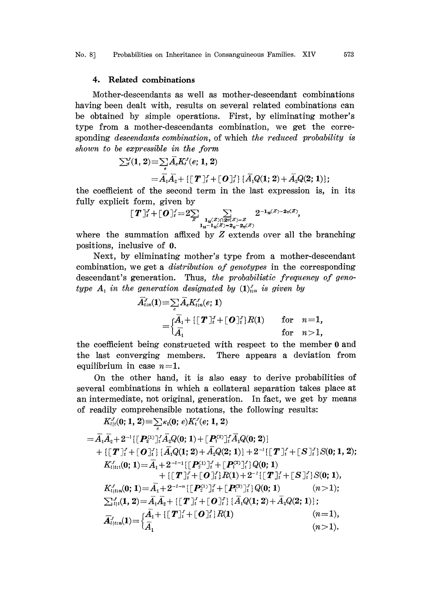No. 8] Probabilities on Inheritance in Consanguineous Families. XIV 573

## 4. Related combinations

Mother-descendants as well as mother-descendant combinations having been dealt with, results on several related combinations can be obtained by simple operaions. First, by eliminating mother's type from a mother-descendants combination, we get the corresponding descendants combination, of which the reduced probability is shown to be expressible in the form

$$
\sum_{i}^{V}(1, 2) = \sum_{e} \overline{A}_{e} K_{i}^{J}(e; 1, 2)
$$
  
=  $\overline{A}_{1} \overline{A}_{2} + \{[T]_{i}^{J} + [O]_{i}^{J}\} \{\overline{A}_{1} Q(1; 2) + \overline{A}_{2} Q(2; 1)\};$ 

the coefficient of the second term in the last expression is, in its fully explicit form, given by

form, given by  
\n
$$
[\boldsymbol{T}]_{i}^{J} + [\boldsymbol{O}]_{i}^{J} = 2 \sum_{\substack{1_u(Z) \cap 2v(Z) = Z \\ 1_u - 1_u(Z) = 2_v - 2_v(Z)}} 2^{-1_u(Z) - 2v(Z)},
$$
\n
$$
\text{ummation affixed by } Z \text{ extends over all } 1
$$
\n
$$
\text{lusive of } 0.
$$

where the summation affixed by  $Z$  extends over all the branching positions, inclusive of 0.

Next, by eliminating mother's type from a mother-descendant combination, we get a *distribution of genotypes* in the corresponding descendant's generation. Thus, the probabilistic frequency of genotype  $A_1$  in the generation designated by  $(1)_{i:n}^{\gamma}$  is given by

$$
\bar{A}_{i,n}^r(1) = \sum_{e} \bar{A}_e K_{i,n}^r(e; 1)
$$
\n
$$
= \begin{cases} \bar{A}_1 + \{ [\boldsymbol{T}]_i^r + [\boldsymbol{O}]_i^r \} R(1) & \text{for} \quad n = 1, \\ \bar{A}_1 & \text{for} \quad n > 1, \end{cases}
$$

he coefficient being constructed with respect to the member <sup>0</sup> and the last converging members. There appears a deviation from equilibrium in case  $n=1$ .

On the other hand, it is also easy to derive probabilities of several combinations in which a collateral separation takes place at an intermediate, not original, generation. In fact, we get by means of readily comprehensible notations, the following results:

$$
K_{l|t}^{J}(0; 1, 2) = \sum_{e} \kappa_{l}(0; e) K_{l}^{J}(e; 1, 2)
$$
  
\n
$$
= \bar{A}_{1} \bar{A}_{2} + 2^{-l} \{ [P_{2}^{(1)}]_{t}^{J} \bar{A}_{2} Q(0; 1) + [P_{1}^{(2)}]_{t}^{J} \bar{A}_{1} Q(0; 2) \} + \{ [T]_{t}^{J} + [O]_{t}^{J} \} \{ \bar{A}_{1} Q(1; 2) + \bar{A}_{2} Q(2; 1) \} + 2^{-l} \{ [T]_{t}^{J} + [S]_{t}^{J} \} S(0; 1, 2);
$$
  
\n
$$
K_{l|t;1}^{J}(0; 1) = \bar{A}_{1} + 2^{-l-1} \{ [P_{2}^{(1)}]_{t}^{J} + [P_{1}^{(2)}]_{t}^{J} \} Q(0; 1) + \{ [T]_{t}^{J} + [O]_{t}^{J} \} R(1) + 2^{-l} \{ [T]_{t}^{J} + [S]_{t}^{J} \} S(0; 1),
$$
  
\n
$$
K_{l|t; n}^{J}(0; 1) = \bar{A}_{1} + 2^{-l-n} \{ [P_{2}^{(1)}]_{t}^{J} + [P_{1}^{(2)}]_{t}^{J} \} Q(0; 1) \qquad (n > 1);
$$
  
\n
$$
\sum_{l|t|}^{J} (1, 2) = \bar{A}_{1} \bar{A}_{2} + \{ [T]_{t}^{J} + [O]_{t}^{J} \} \{ \bar{A}_{1} Q(1; 2) + \bar{A}_{2} Q(2; 1) \};
$$
  
\n
$$
\bar{A}_{l|t; n}^{J}(1) = \{ \bar{A}_{1} + \{ [T]_{t}^{J} + [O]_{t}^{J} \} R(1) \qquad (n = 1),
$$
  
\n
$$
K_{l|t; n}^{J}(1) = \{ \bar{A}_{1}^{J} + [T]_{t}^{J} + [O]_{t}^{J} \} R(1) \qquad (n = 1),
$$